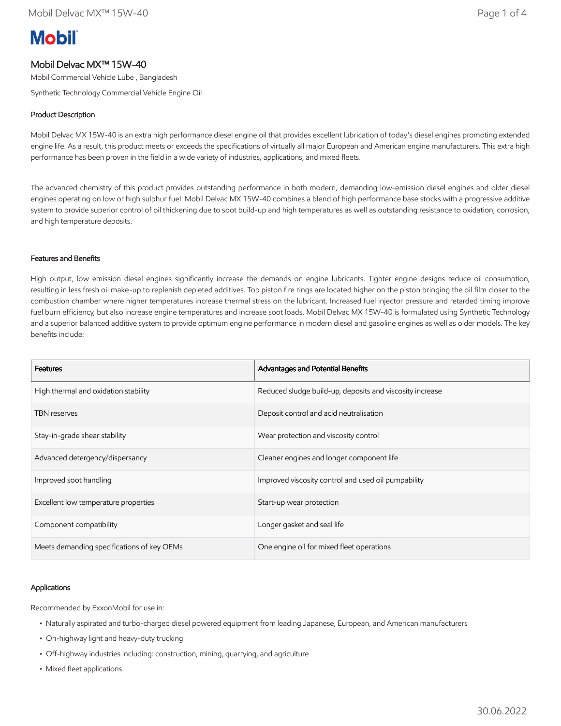# **Mobil**

# Mobil Delvac MX™ 15W-40

Mobil Commercial Vehicle Lube , Bangladesh

Synthetic Technology Commercial Vehicle Engine Oil

# Product Description

Mobil Delvac MX 15W-40 is an extra high performance diesel engine oil that provides excellent lubrication of today's diesel engines promoting extended engine life. As a result, this product meets or exceeds the specifications of virtually all major European and American engine manufacturers. This extra high performance has been proven in the field in a wide variety of industries, applications, and mixed fleets.

The advanced chemistry of this product provides outstanding performance in both modern, demanding low-emission diesel engines and older diesel engines operating on low or high sulphur fuel. Mobil Delvac MX 15W-40 combines a blend of high performance base stocks with a progressive additive system to provide superior control of oil thickening due to soot build-up and high temperatures as well as outstanding resistance to oxidation, corrosion, and high temperature deposits.

# Features and Benefits

High output, low emission diesel engines significantly increase the demands on engine lubricants. Tighter engine designs reduce oil consumption, resulting in less fresh oil make-up to replenish depleted additives. Top piston fire rings are located higher on the piston bringing the oil film closer to the combustion chamber where higher temperatures increase thermal stress on the lubricant. Increased fuel injector pressure and retarded timing improve fuel burn efficiency, but also increase engine temperatures and increase soot loads. Mobil Delvac MX 15W-40 is formulated using Synthetic Technology and a superior balanced additive system to provide optimum engine performance in modern diesel and gasoline engines as well as older models. The key benefits include:

| <b>Features</b>                            | Advantages and Potential Benefits                        |
|--------------------------------------------|----------------------------------------------------------|
| High thermal and oxidation stability       | Reduced sludge build-up, deposits and viscosity increase |
| <b>TBN</b> reserves                        | Deposit control and acid neutralisation                  |
| Stay-in-grade shear stability              | Wear protection and viscosity control                    |
| Advanced detergency/dispersancy            | Cleaner engines and longer component life                |
| Improved soot handling                     | Improved viscosity control and used oil pumpability      |
| Excellent low temperature properties       | Start-up wear protection                                 |
| Component compatibility                    | Longer gasket and seal life                              |
| Meets demanding specifications of key OEMs | One engine oil for mixed fleet operations                |

# Applications

Recommended by ExxonMobil for use in:

- Naturally aspirated and turbo-charged diesel powered equipment from leading Japanese, European, and American manufacturers
- On-highway light and heavy-duty trucking
- Off-highway industries including: construction, mining, quarrying, and agriculture
- Mixed fleet applications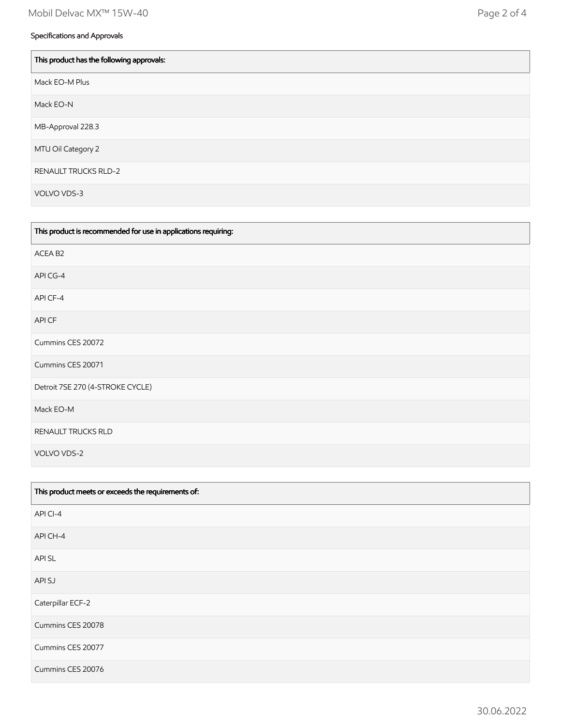# Specifications and Approvals

 $\overline{a}$ 

| This product has the following approvals: |
|-------------------------------------------|
| Mack EO-M Plus                            |
| Mack EO-N                                 |
| MB-Approval 228.3                         |
| MTU Oil Category 2                        |
| <b>RENAULT TRUCKS RLD-2</b>               |
| VOLVO VDS-3                               |

| This product is recommended for use in applications requiring: |
|----------------------------------------------------------------|
| ACEA B2                                                        |
| API CG-4                                                       |
| API CF-4                                                       |
| API CF                                                         |
| Cummins CES 20072                                              |
| Cummins CES 20071                                              |
| Detroit 7SE 270 (4-STROKE CYCLE)                               |
| Mack EO-M                                                      |
| RENAULT TRUCKS RLD                                             |
| VOLVO VDS-2                                                    |

| This product meets or exceeds the requirements of: |
|----------------------------------------------------|
| API CI-4                                           |
| API CH-4                                           |
| <b>APISL</b>                                       |
| API SJ                                             |
| Caterpillar ECF-2                                  |
| Cummins CES 20078                                  |
| Cummins CES 20077                                  |
| Cummins CES 20076                                  |